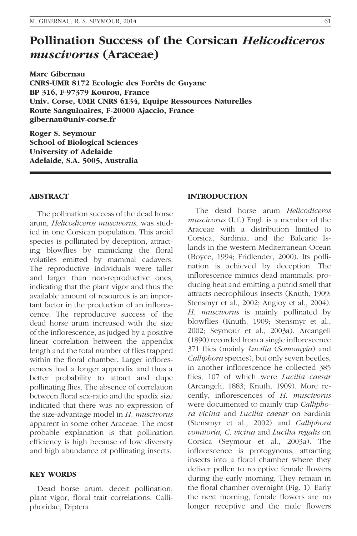# Pollination Success of the Corsican Helicodiceros muscivorus (Araceae)

Marc Gibernau CNRS-UMR 8172 Ecologie des Forêts de Guyane BP 316, F-97379 Kourou, France Univ. Corse, UMR CNRS 6134, Equipe Ressources Naturelles Route Sanguinaires, F-20000 Ajaccio, France gibernau@univ-corse.fr

Roger S. Seymour School of Biological Sciences University of Adelaide Adelaide, S.A. 5005, Australia

# ABSTRACT

The pollination success of the dead horse arum, Helicodiceros muscivorus, was studied in one Corsican population. This aroid species is pollinated by deception, attracting blowflies by mimicking the floral volatiles emitted by mammal cadavers. The reproductive individuals were taller and larger than non-reproductive ones, indicating that the plant vigor and thus the available amount of resources is an important factor in the production of an inflorescence. The reproductive success of the dead horse arum increased with the size of the inflorescence, as judged by a positive linear correlation between the appendix length and the total number of flies trapped within the floral chamber. Larger inflorescences had a longer appendix and thus a better probability to attract and dupe pollinating flies. The absence of correlation between floral sex-ratio and the spadix size indicated that there was no expression of the size-advantage model in H. muscivorus apparent in some other Araceae. The most probable explanation is that pollination efficiency is high because of low diversity and high abundance of pollinating insects.

#### KEY WORDS

Dead horse arum, deceit pollination, plant vigor, floral trait correlations, Calliphoridae, Diptera.

# INTRODUCTION

The dead horse arum Helicodiceros muscivorus (L.f.) Engl. is a member of the Araceae with a distribution limited to Corsica, Sardinia, and the Balearic Islands in the western Mediterranean Ocean (Boyce, 1994; Fridlender, 2000). Its pollination is achieved by deception. The inflorescence mimics dead mammals, producing heat and emitting a putrid smell that attracts necrophilous insects (Knuth, 1909; Stensmyr et al., 2002; Angioy et al., 2004). H. muscivorus is mainly pollinated by blowflies (Knuth, 1909; Stensmyr et al., 2002; Seymour et al., 2003a). Arcangeli (1890) recorded from a single inflorescence 371 flies (mainly Lucilia (Somomyia) and Calliphora species), but only seven beetles; in another inflorescence he collected 385 flies, 107 of which were Lucilia caesar (Arcangeli, 1883; Knuth, 1909). More recently, inflorescences of H. muscivorus were documented to mainly trap *Callipho*ra vicina and Lucilia caesar on Sardinia (Stensmyr et al., 2002) and Calliphora vomitoria, C. vicina and Lucilia regalis on Corsica (Seymour et al., 2003a). The inflorescence is protogynous, attracting insects into a floral chamber where they deliver pollen to receptive female flowers during the early morning. They remain in the floral chamber overnight (Fig. 1). Early the next morning, female flowers are no longer receptive and the male flowers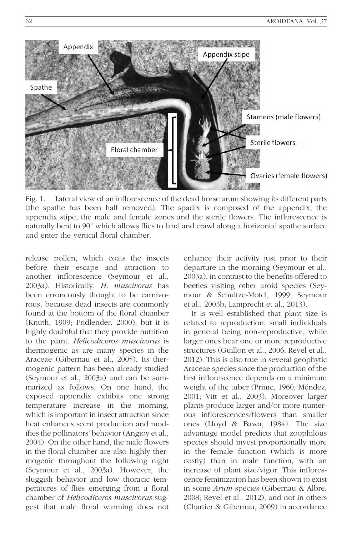

Fig. 1. Lateral view of an inflorescence of the dead horse arum showing its different parts (the spathe has been half removed). The spadix is composed of the appendix, the appendix stipe, the male and female zones and the sterile flowers. The inflorescence is naturally bent to 90° which allows flies to land and crawl along a horizontal spathe surface and enter the vertical floral chamber.

release pollen, which coats the insects before their escape and attraction to another inflorescence (Seymour et al., 2003a). Historically, H. muscivorus has been erroneously thought to be carnivorous, because dead insects are commonly found at the bottom of the floral chamber (Knuth, 1909; Fridlender, 2000), but it is highly doubtful that they provide nutrition to the plant. Helicodiceros muscivorus is thermogenic as are many species in the Araceae (Gibernau et al., 2005). Its thermogenic pattern has been already studied (Seymour et al., 2003a) and can be summarized as follows. On one hand, the exposed appendix exhibits one strong temperature increase in the morning, which is important in insect attraction since heat enhances scent production and modifies the pollinators' behavior (Angioy et al., 2004). On the other hand, the male flowers in the floral chamber are also highly thermogenic throughout the following night (Seymour et al., 2003a). However, the sluggish behavior and low thoracic temperatures of flies emerging from a floral chamber of Helicodiceros muscivorus suggest that male floral warming does not

enhance their activity just prior to their departure in the morning (Seymour et al., 2003a), in contrast to the benefits offered to beetles visiting other aroid species (Seymour & Schultze-Motel, 1999; Seymour et al., 2003b; Lamprecht et al., 2013).

It is well established that plant size is related to reproduction, small individuals in general being non-reproductive, while larger ones bear one or more reproductive structures (Guillon et al., 2006; Revel et al., 2012). This is also true in several geophytic Araceae species since the production of the first inflorescence depends on a minimum weight of the tuber (Prime, 1960; Méndez, 2001; Vitt et al., 2003). Moreover larger plants produce larger and/or more numerous inflorescences/flowers than smaller ones (Lloyd & Bawa, 1984). The size advantage model predicts that zoophilous species should invest proportionally more in the female function (which is more costly) than in male function, with an increase of plant size/vigor. This inflorescence feminization has been shown to exist in some Arum species (Gibernau & Albre, 2008; Revel et al., 2012), and not in others (Chartier & Gibernau, 2009) in accordance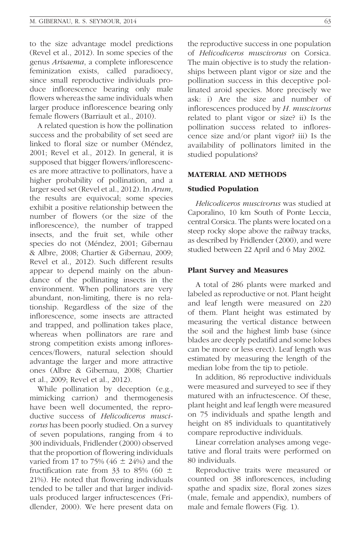to the size advantage model predictions (Revel et al., 2012). In some species of the genus Arisaema, a complete inflorescence feminization exists, called paradioecy, since small reproductive individuals produce inflorescence bearing only male flowers whereas the same individuals when larger produce inflorescence bearing only female flowers (Barriault et al., 2010).

A related question is how the pollination success and the probability of set seed are linked to floral size or number (Méndez, 2001; Revel et al., 2012). In general, it is supposed that bigger flowers/inflorescences are more attractive to pollinators, have a higher probability of pollination, and a larger seed set (Revel et al., 2012). In Arum, the results are equivocal; some species exhibit a positive relationship between the number of flowers (or the size of the inflorescence), the number of trapped insects, and the fruit set, while other species do not (Méndez, 2001; Gibernau & Albre, 2008; Chartier & Gibernau, 2009; Revel et al., 2012). Such different results appear to depend mainly on the abundance of the pollinating insects in the environment. When pollinators are very abundant, non-limiting, there is no relationship. Regardless of the size of the inflorescence, some insects are attracted and trapped, and pollination takes place, whereas when pollinators are rare and strong competition exists among inflorescences/flowers, natural selection should advantage the larger and more attractive ones (Albre & Gibernau, 2008; Chartier et al., 2009; Revel et al., 2012).

While pollination by deception (e.g., mimicking carrion) and thermogenesis have been well documented, the reproductive success of Helicodiceros muscivorus has been poorly studied. On a survey of seven populations, ranging from 4 to 300 individuals, Fridlender (2000) observed that the proportion of flowering individuals varied from 17 to 75% (46  $\pm$  24%) and the fructification rate from 33 to 85% (60  $\pm$ 21%). He noted that flowering individuals tended to be taller and that larger individuals produced larger infructescences (Fridlender, 2000). We here present data on the reproductive success in one population of Helicodiceros muscivorus on Corsica. The main objective is to study the relationships between plant vigor or size and the pollination success in this deceptive pollinated aroid species. More precisely we ask: i) Are the size and number of inflorescences produced by H. muscivorus related to plant vigor or size? ii) Is the pollination success related to inflorescence size and/or plant vigor? iii) Is the availability of pollinators limited in the studied populations?

#### MATERIAL AND METHODS

#### Studied Population

Helicodiceros muscivorus was studied at Caporalino, 10 km South of Ponte Leccia, central Corsica. The plants were located on a steep rocky slope above the railway tracks, as described by Fridlender (2000), and were studied between 22 April and 6 May 2002.

#### Plant Survey and Measures

A total of 286 plants were marked and labeled as reproductive or not. Plant height and leaf length were measured on 220 of them. Plant height was estimated by measuring the vertical distance between the soil and the highest limb base (since blades are deeply pedatifid and some lobes can be more or less erect). Leaf length was estimated by measuring the length of the median lobe from the tip to petiole.

In addition, 86 reproductive individuals were measured and surveyed to see if they matured with an infructescence. Of these, plant height and leaf length were measured on 75 individuals and spathe length and height on 85 individuals to quantitatively compare reproductive individuals.

Linear correlation analyses among vegetative and floral traits were performed on 80 individuals.

Reproductive traits were measured or counted on 38 inflorescences, including spathe and spadix size, floral zones sizes (male, female and appendix), numbers of male and female flowers (Fig. 1).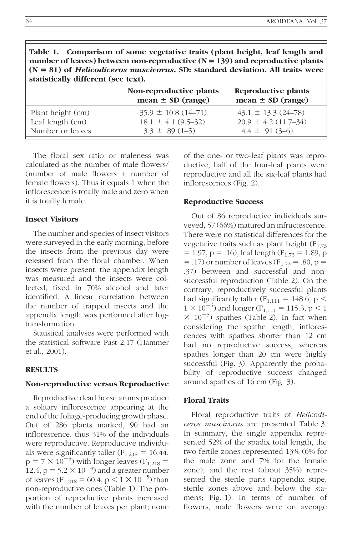| $(N = 81)$ of <i>Helicodiceros muscivorus</i> . SD: standard deviation. All traits were<br>statistically different (see text). |                                                                            |                                                                               |  |  |
|--------------------------------------------------------------------------------------------------------------------------------|----------------------------------------------------------------------------|-------------------------------------------------------------------------------|--|--|
|                                                                                                                                | Non-reproductive plants<br>mean $\pm$ SD (range)                           | Reproductive plants<br>mean $\pm$ SD (range)                                  |  |  |
| Plant height (cm)<br>Leaf length (cm)<br>Number or leaves                                                                      | $35.9 \pm 10.8$ (14-71)<br>$18.1 \pm 4.1 (9.5 - 32)$<br>$3.3 \pm .89(1-5)$ | $43.1 \pm 13.3$ (24-78)<br>$20.9 \pm 4.2 \ (11.7 - 34)$<br>$4.4 \pm .91(3-6)$ |  |  |

Table 1. Comparison of some vegetative traits (plant height, leaf length and number of leaves) between non-reproductive  $(N = 139)$  and reproductive plants  $(N = 81)$  of *Helicodiceros muscivorus*. SD: standard deviation. All traits were

The floral sex ratio or maleness was calculated as the number of male flowers/ (number of male flowers + number of female flowers). Thus it equals 1 when the inflorescence is totally male and zero when it is totally female.

# Insect Visitors

The number and species of insect visitors were surveyed in the early morning, before the insects from the previous day were released from the floral chamber. When insects were present, the appendix length was measured and the insects were collected, fixed in 70% alcohol and later identified. A linear correlation between the number of trapped insects and the appendix length was performed after logtransformation.

Statistical analyses were performed with the statistical software Past 2.17 (Hammer et al., 2001).

#### **RESULTS**

# Non-reproductive versus Reproductive

Reproductive dead horse arums produce a solitary inflorescence appearing at the end of the foliage-producing growth phase. Out of 286 plants marked, 90 had an inflorescence, thus 31% of the individuals were reproductive. Reproductive individuals were significantly taller  $(F_{1,218} = 16.44,$  $p = 7 \times 10^{-5}$ ) with longer leaves (F<sub>1,218</sub> = 12.4,  $p = 5.2 \times 10^{-4}$ ) and a greater number of leaves ( $F_{1,218} = 60.4$ , p  $\lt 1 \times 10^{-5}$ ) than non-reproductive ones (Table 1). The proportion of reproductive plants increased with the number of leaves per plant; none

of the one- or two-leaf plants was reproductive, half of the four-leaf plants were reproductive and all the six-leaf plants had inflorescences (Fig. 2).

#### Reproductive Success

Out of 86 reproductive individuals surveyed, 57 (66%) matured an infructescence. There were no statistical differences for the vegetative traits such as plant height  $(F_{1,73})$  $= 1.97$ , p = .16), leaf length ( $F_{1,73} = 1.89$ , p  $=$  .17) or number of leaves ( $F_{1,73} = .80$ , p = .37) between and successful and nonsuccessful reproduction (Table 2). On the contrary, reproductively successful plants had significantly taller ( $F_{1,111} = 148.6$ , p <  $1 \times 10^{-5}$ ) and longer (F<sub>1,111</sub> = 115.3, p < 1  $\times$  10<sup>-5</sup>) spathes (Table 2). In fact when considering the spathe length, inflorescences with spathes shorter than 12 cm had no reproductive success, whereas spathes longer than 20 cm were highly successful (Fig. 3). Apparently the probability of reproductive success changed around spathes of 16 cm (Fig. 3).

### Floral Traits

Floral reproductive traits of Helicodiceros muscivorus are presented Table 3. In summary, the single appendix represented 52% of the spadix total length, the two fertile zones represented 13% (6% for the male zone and 7% for the female zone), and the rest (about 35%) represented the sterile parts (appendix stipe, sterile zones above and below the stamens; Fig. 1). In terms of number of flowers, male flowers were on average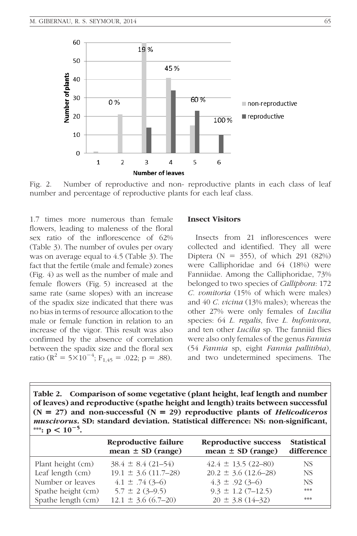

Fig. 2. Number of reproductive and non- reproductive plants in each class of leaf number and percentage of reproductive plants for each leaf class.

1.7 times more numerous than female flowers, leading to maleness of the floral sex ratio of the inflorescence of 62% (Table 3). The number of ovules per ovary was on average equal to 4.5 (Table 3). The fact that the fertile (male and female) zones (Fig. 4) as well as the number of male and female flowers (Fig. 5) increased at the same rate (same slopes) with an increase of the spadix size indicated that there was no bias in terms of resource allocation to the male or female function in relation to an increase of the vigor. This result was also confirmed by the absence of correlation between the spadix size and the floral sex ratio ( $R^2 = 5 \times 10^{-4}$ ; F<sub>1,45</sub> = .022; p = .88).

#### Insect Visitors

Insects from 21 inflorescences were collected and identified. They all were Diptera ( $N = 355$ ), of which 291 (82%) were Calliphoridae and 64 (18%) were Fanniidae. Among the Calliphoridae, 73% belonged to two species of *Calliphora*: 172 C. vomitoria (15% of which were males) and 40 C. vicina (13% males); whereas the other 27% were only females of Lucilia species: 64 L. regalis, five L. bufonivora, and ten other Lucilia sp. The fanniid flies were also only females of the genus Fannia (54 Fannia sp, eight Fannia pallitibia), and two undetermined specimens. The

Table 2. Comparison of some vegetative (plant height, leaf length and number of leaves) and reproductive (spathe height and length) traits between successful  $(N = 27)$  and non-successful  $(N = 29)$  reproductive plants of *Helicodiceros* muscivorus. SD: standard deviation. Statistical difference: NS: non-significant, \*\*\*:  $p < 10^{-5}$ .

|                    | Reproductive failure<br>mean $\pm$ SD (range) | Reproductive success<br>mean $\pm$ SD (range) | <b>Statistical</b><br>difference |
|--------------------|-----------------------------------------------|-----------------------------------------------|----------------------------------|
| Plant height (cm)  | $38.4 \pm 8.4(21 - 54)$                       | $42.4 \pm 13.5$ (22-80)                       | NS.                              |
| Leaf length (cm)   | $19.1 \pm 3.6$ (11.7–28)                      | $20.2 \pm 3.6$ (12.6–28)                      | NS.                              |
| Number or leaves   | $4.1 \pm .74(3-6)$                            | $4.3 \pm .92$ (3-6)                           | <b>NS</b>                        |
| Spathe height (cm) | $5.7 \pm 2(3-9.5)$                            | $9.3 \pm 1.2$ (7-12.5)                        | ***                              |
| Spathe length (cm) | $12.1 \pm 3.6$ (6.7–20)                       | $20 \pm 3.8$ (14-32)                          | ***                              |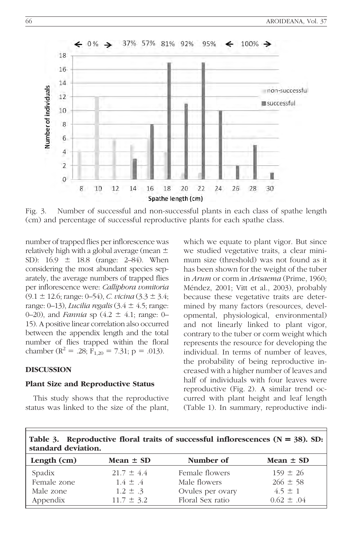

Fig. 3. Number of successful and non-successful plants in each class of spathe length (cm) and percentage of successful reproductive plants for each spathe class.

number of trapped flies per inflorescence was relatively high with a global average (mean  $\pm$ SD):  $16.9 \pm 18.8$  (range: 2–84). When considering the most abundant species separately, the average numbers of trapped flies per inflorescence were: Calliphora vomitoria  $(9.1 \pm 12.6; \text{range}: 0-54), C. \text{vicina}$   $(3.3 \pm 3.4;$ range: 0-13), Lucilia regalis  $(3.4 \pm 4.5;$  range: 0–20), and *Fannia* sp  $(4.2 \pm 4.1; \text{ range: } 0-$ 15). A positive linear correlation also occurred between the appendix length and the total number of flies trapped within the floral chamber ( $\mathbb{R}^2 = .28$ ; F<sub>1,20</sub> = 7.31; p = .013).

### DISCUSSION

#### Plant Size and Reproductive Status

This study shows that the reproductive status was linked to the size of the plant, which we equate to plant vigor. But since we studied vegetative traits, a clear minimum size (threshold) was not found as it has been shown for the weight of the tuber in Arum or corm in Arisaema (Prime, 1960; Méndez, 2001; Vitt et al., 2003), probably because these vegetative traits are determined by many factors (resources, developmental, physiological, environmental) and not linearly linked to plant vigor, contrary to the tuber or corm weight which represents the resource for developing the individual. In terms of number of leaves, the probability of being reproductive increased with a higher number of leaves and half of individuals with four leaves were reproductive (Fig. 2). A similar trend occurred with plant height and leaf length (Table 1). In summary, reproductive indi-

| Table 3. Reproductive floral traits of successful inflorescences $(N = 38)$ . SD:<br>standard deviation. |                                |                                |                              |  |  |
|----------------------------------------------------------------------------------------------------------|--------------------------------|--------------------------------|------------------------------|--|--|
| Length $(cm)$                                                                                            | Mean $\pm$ SD                  | Number of                      | Mean $\pm$ SD                |  |  |
| Spadix<br>Female zone                                                                                    | $21.7 \pm 4.4$<br>$1.4 \pm .4$ | Female flowers<br>Male flowers | $159 \pm 26$<br>$266 \pm 58$ |  |  |

Male zone 1.2  $\pm$  .3 Ovules per ovary 4.5  $\pm$  1 Appendix  $11.7 \pm 3.2$  Floral Sex ratio  $0.62 \pm .04$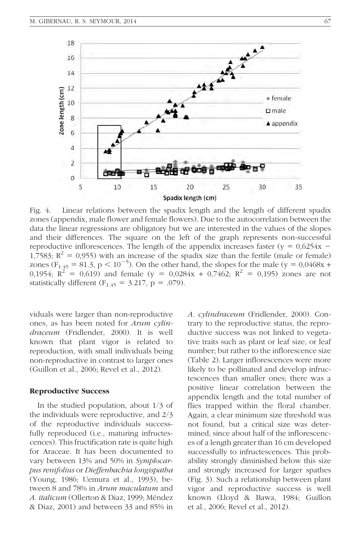

Fig. 4. Linear relations between the spadix length and the length of different spadix zones (appendix, male flower and female flowers). Due to the autocorrelation between the data the linear regressions are obligatory but we are interested in the values of the slopes and their differences. The square on the left of the graph represents non-successful reproductive inflorescences. The length of the appendix increases faster ( $y = 0.6254x - 1$ 1,7583;  $R^2 = 0.955$ ) with an increase of the spadix size than the fertile (male or female) zones ( $F_{1.45} = 81.3$ , p < 10<sup>-5</sup>). On the other hand, the slopes for the male (y = 0,0468x + 0,1954;  $R^2 = 0.619$ ) and female (y = 0,0284x + 0,7462;  $R^2 = 0.195$ ) zones are not statistically different  $(F_{1.45} = 3.217, p = .079)$ .

viduals were larger than non-reproductive ones, as has been noted for Arum cylindraceum (Fridlender, 2000). It is well known that plant vigor is related to reproduction, with small individuals being non-reproductive in contrast to larger ones (Guillon et al., 2006; Revel et al., 2012).

#### Reproductive Success

In the studied population, about 1/3 of the individuals were reproductive, and 2/3 of the reproductive individuals successfully reproduced (i.e., maturing infructescences). This fructification rate is quite high for Araceae. It has been documented to vary between 13% and 50% in Symplocarpus renifolius or Dieffenbachia longispatha (Young, 1986; Uemura et al., 1993), between 8 and 78% in *Arum maculatum* and A. italicum (Ollerton & Diaz, 1999; Méndez & Diaz, 2001) and between 33 and 85% in A. cylindraceum (Fridlender, 2000). Contrary to the reproductive status, the reproductive success was not linked to vegetative traits such as plant or leaf size, or leaf number; but rather to the inflorescence size (Table 2). Larger inflorescences were more likely to be pollinated and develop infructescences than smaller ones; there was a positive linear correlation between the appendix length and the total number of flies trapped within the floral chamber. Again, a clear minimum size threshold was not found, but a critical size was determined, since about half of the inflorescences of a length greater than 16 cm developed successfully to infructescences. This probability strongly diminished below this size and strongly increased for larger spathes (Fig. 3). Such a relationship between plant vigor and reproductive success is well known (Lloyd & Bawa, 1984; Guillon et al., 2006; Revel et al., 2012).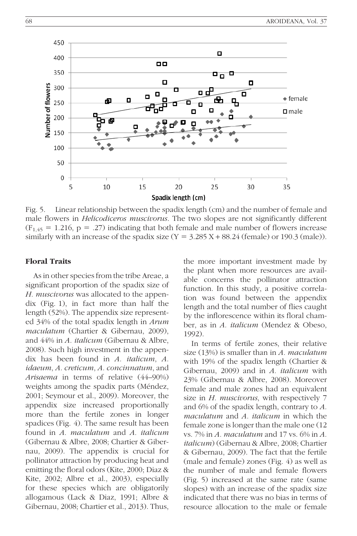

Fig. 5. Linear relationship between the spadix length (cm) and the number of female and male flowers in *Helicodiceros muscivorus*. The two slopes are not significantly different  $(F<sub>1,45</sub> = 1.216, p = .27)$  indicating that both female and male number of flowers increase similarly with an increase of the spadix size  $(Y = 3.285 X + 88.24$  (female) or 190.3 (male)).

#### Floral Traits

As in other species from the tribe Areae, a significant proportion of the spadix size of H. muscivorus was allocated to the appendix (Fig. 1), in fact more than half the length (52%). The appendix size represented 34% of the total spadix length in Arum maculatum (Chartier & Gibernau, 2009), and 44% in A. italicum (Gibernau & Albre, 2008). Such high investment in the appendix has been found in A. italicum, A. idaeum, A. creticum, A. concinnatum, and Arisaema in terms of relative (44–90%) weights among the spadix parts (Méndez, 2001; Seymour et al., 2009). Moreover, the appendix size increased proportionally more than the fertile zones in longer spadices (Fig. 4). The same result has been found in A. maculatum and A. italicum (Gibernau & Albre, 2008; Chartier & Gibernau, 2009). The appendix is crucial for pollinator attraction by producing heat and emitting the floral odors (Kite, 2000; Diaz & Kite, 2002; Albre et al., 2003), especially for these species which are obligatorily allogamous (Lack & Diaz, 1991; Albre & Gibernau, 2008; Chartier et al., 2013). Thus,

the more important investment made by the plant when more resources are available concerns the pollinator attraction function. In this study, a positive correlation was found between the appendix length and the total number of flies caught by the inflorescence within its floral chamber, as in A. italicum (Mendez & Obeso, 1992).

In terms of fertile zones, their relative size  $(13%)$  is smaller than in A. maculatum with 19% of the spadix length (Chartier & Gibernau, 2009) and in A. italicum with 23% (Gibernau & Albre, 2008). Moreover female and male zones had an equivalent size in H. muscivorus, with respectively 7 and 6% of the spadix length, contrary to A. maculatum and A. italicum in which the female zone is longer than the male one (12 vs. 7% in A. maculatum and 17 vs.  $6\%$  in A. italicum) (Gibernau & Albre, 2008; Chartier & Gibernau, 2009). The fact that the fertile (male and female) zones (Fig. 4) as well as the number of male and female flowers (Fig. 5) increased at the same rate (same slopes) with an increase of the spadix size indicated that there was no bias in terms of resource allocation to the male or female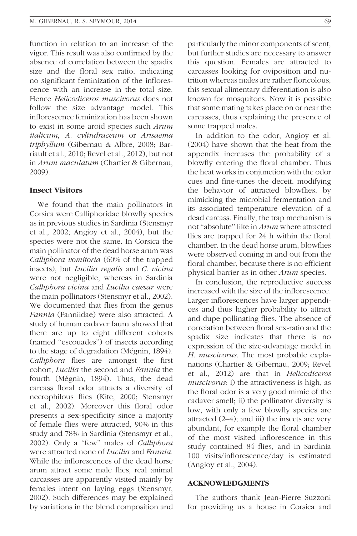function in relation to an increase of the vigor. This result was also confirmed by the absence of correlation between the spadix size and the floral sex ratio, indicating no significant feminization of the inflorescence with an increase in the total size. Hence Helicodiceros muscivorus does not follow the size advantage model. This inflorescence feminization has been shown to exist in some aroid species such Arum italicum, A. cylindraceum or Arisaema triphyllum (Gibernau & Albre, 2008; Barriault et al., 2010; Revel et al., 2012), but not in Arum maculatum (Chartier & Gibernau, 2009).

#### Insect Visitors

We found that the main pollinators in Corsica were Calliphoridae blowfly species as in previous studies in Sardinia (Stensmyr et al., 2002; Angioy et al., 2004), but the species were not the same. In Corsica the main pollinator of the dead horse arum was Calliphora vomitoria (60% of the trapped insects), but *Lucilia regalis* and *C. vicina* were not negligible, whereas in Sardinia Calliphora vicina and Lucilia caesar were the main pollinators (Stensmyr et al., 2002). We documented that flies from the genus Fannia (Fanniidae) were also attracted. A study of human cadaver fauna showed that there are up to eight different cohorts (named ''escouades'') of insects according to the stage of degradation (Mégnin, 1894). Calliphora flies are amongst the first cohort, Lucilia the second and Fannia the fourth (Mégnin, 1894). Thus, the dead carcass floral odor attracts a diversity of necrophilous flies (Kite, 2000; Stensmyr et al., 2002). Moreover this floral odor presents a sex-specificity since a majority of female flies were attracted, 90% in this study and 78% in Sardinia (Stensmyr et al., 2002). Only a ''few'' males of Calliphora were attracted none of *Lucilia* and *Fannia*. While the inflorescences of the dead horse arum attract some male flies, real animal carcasses are apparently visited mainly by females intent on laying eggs (Stensmyr, 2002). Such differences may be explained by variations in the blend composition and particularly the minor components of scent, but further studies are necessary to answer this question. Females are attracted to carcasses looking for oviposition and nutrition whereas males are rather floricolous; this sexual alimentary differentiation is also known for mosquitoes. Now it is possible that some mating takes place on or near the carcasses, thus explaining the presence of some trapped males.

In addition to the odor, Angioy et al. (2004) have shown that the heat from the appendix increases the probability of a blowfly entering the floral chamber. Thus the heat works in conjunction with the odor cues and fine-tunes the deceit, modifying the behavior of attracted blowflies, by mimicking the microbial fermentation and its associated temperature elevation of a dead carcass. Finally, the trap mechanism is not ''absolute'' like in Arum where attracted flies are trapped for 24 h within the floral chamber. In the dead horse arum, blowflies were observed coming in and out from the floral chamber, because there is no efficient physical barrier as in other Arum species.

In conclusion, the reproductive success increased with the size of the inflorescence. Larger inflorescences have larger appendices and thus higher probability to attract and dupe pollinating flies. The absence of correlation between floral sex-ratio and the spadix size indicates that there is no expression of the size-advantage model in H. muscivorus. The most probable explanations (Chartier & Gibernau, 2009; Revel et al., 2012) are that in Helicodiceros muscivorus: i) the attractiveness is high, as the floral odor is a very good mimic of the cadaver smell; ii) the pollinator diversity is low, with only a few blowfly species are attracted (2–4); and iii) the insects are very abundant, for example the floral chamber of the most visited inflorescence in this study contained 84 flies, and in Sardinia 100 visits/inflorescence/day is estimated (Angioy et al., 2004).

#### ACKNOWLEDGMENTS

The authors thank Jean-Pierre Suzzoni for providing us a house in Corsica and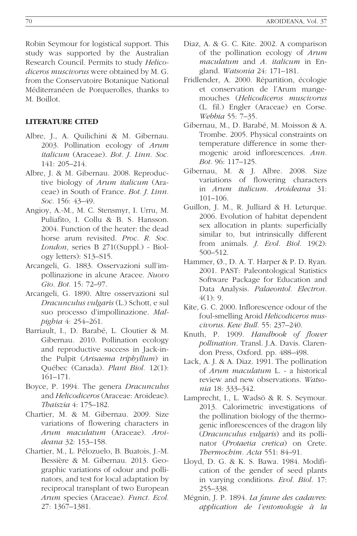Robin Seymour for logistical support. This study was supported by the Australian Research Council. Permits to study Helicodiceros muscivorus were obtained by M. G. from the Conservatoire Botanique National Méditerranéen de Porquerolles, thanks to M. Boillot.

# LITERATURE CITED

- Albre, J., A. Quilichini & M. Gibernau. 2003. Pollination ecology of Arum italicum (Araceae). Bot. J. Linn. Soc. 141: 205–214.
- Albre, J. & M. Gibernau. 2008. Reproductive biology of Arum italicum (Araceae) in South of France. Bot. J. Linn. Soc. 156: 43–49.
- Angioy, A.-M., M. C. Stensmyr, I. Urru, M. Puliafito, I. Collu & B. S. Hansson. 2004. Function of the heater: the dead horse arum revisited. Proc. R. Soc. London, series B 271((Suppl.) - Biology letters): S13–S15.
- Arcangeli, G. 1883. Osservazioni sull'impollinazione in alcune Aracee. Nuovo Gio. Bot. 15: 72–97.
- Arcangeli, G. 1890. Altre osservazioni sul Dracunculus vulgaris (L.) Schott, e sul suo processo d'impollinazione. Malpighia 4: 254–261.
- Barriault, I., D. Barabé, L. Cloutier & M. Gibernau. 2010. Pollination ecology and reproductive success in Jack-inthe Pulpit (Arisaema triphyllum) in Québec (Canada). Plant Biol. 12(1): 161–171.
- Boyce, P. 1994. The genera Dracunculus and Helicodiceros (Araceae: Aroideae). Thaiszia 4: 175–182.
- Chartier, M. & M. Gibernau. 2009. Size variations of flowering characters in Arum maculatum (Araceae). Aroideana 32: 153–158.
- Chartier, M., L. Pélozuelo, B. Buatois, J.-M. Bessière & M. Gibernau. 2013. Geographic variations of odour and pollinators, and test for local adaptation by reciprocal transplant of two European Arum species (Araceae). Funct. Ecol. 27: 1367–1381.
- Diaz, A. & G. C. Kite. 2002. A comparison of the pollination ecology of Arum maculatum and A. italicum in England. Watsonia 24: 171–181.
- Fridlender, A. 2000. Répartition, écologie et conservation de l'Arum mangemouches (Helicodiceros muscivorus (L. fil.) Engler (Araceae) en Corse. Webbia 55: 7–35.
- Gibernau, M., D. Barabé, M. Moisson & A. Trombe. 2005. Physical constraints on temperature difference in some thermogenic aroid inflorescences. Ann. Bot. 96: 117–125.
- Gibernau, M. & J. Albre. 2008. Size variations of flowering characters in Arum italicum. Aroideana 31: 101–106.
- Guillon, J. M., R. Julliard & H. Leturque. 2006. Evolution of habitat dependent sex allocation in plants: superficially similar to, but intrinsically different from animals. J. Evol. Biol. 19(2): 500–512.
- Hammer,  $\emptyset$ ., D. A. T. Harper & P. D. Ryan. 2001. PAST: Paleontological Statistics Software Package for Education and Data Analysis. Palaeontol. Electron.  $4(1): 9.$
- Kite, G. C. 2000. Inflorescence odour of the foul-smelling Aroid Helicodiceros muscivorus. Kew Bull. 55: 237–240.
- Knuth, P. 1909. Handbook of flower pollination. Transl. J.A. Davis. Clarendon Press, Oxford. pp. 488–498.
- Lack, A. J. & A. Diaz. 1991. The pollination of Arum maculatum L. - a historical review and new observations. Watsonia 18: 333–342.
- Lamprecht, I., L. Wadsö & R. S. Seymour. 2013. Calorimetric investigations of the pollination biology of the thermogenic inflorescences of the dragon lily (Dracunculus vulgaris) and its pollinator (Protaetia cretica) on Crete. Thermochim. Acta 551: 84–91.
- Lloyd, D. G. & K. S. Bawa. 1984. Modification of the gender of seed plants in varying conditions. Evol. Biol. 17: 255–338.
- Mégnin, J. P. 1894. La faune des cadavres: application de l'entomologie à la